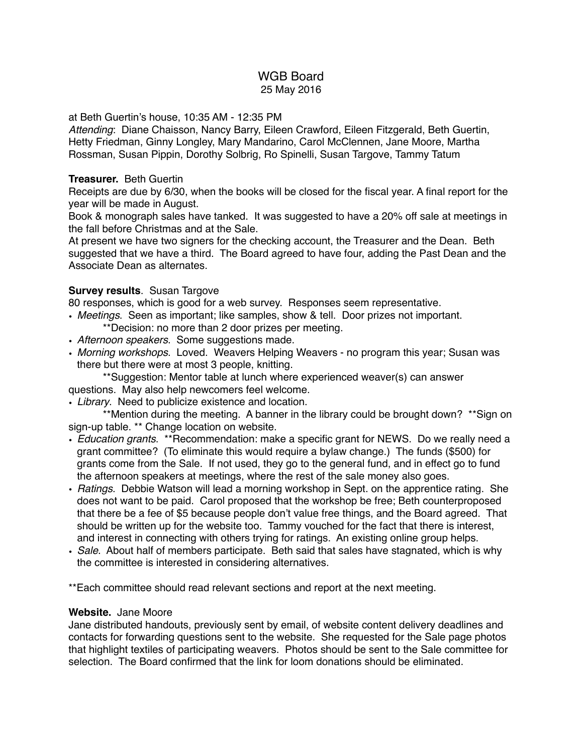## WGB Board 25 May 2016

### at Beth Guertin's house, 10:35 AM - 12:35 PM

*Attending*: Diane Chaisson, Nancy Barry, Eileen Crawford, Eileen Fitzgerald, Beth Guertin, Hetty Friedman, Ginny Longley, Mary Mandarino, Carol McClennen, Jane Moore, Martha Rossman, Susan Pippin, Dorothy Solbrig, Ro Spinelli, Susan Targove, Tammy Tatum

#### **Treasurer.** Beth Guertin

Receipts are due by 6/30, when the books will be closed for the fiscal year. A final report for the year will be made in August.

Book & monograph sales have tanked. It was suggested to have a 20% off sale at meetings in the fall before Christmas and at the Sale.

At present we have two signers for the checking account, the Treasurer and the Dean. Beth suggested that we have a third. The Board agreed to have four, adding the Past Dean and the Associate Dean as alternates.

### **Survey results**. Susan Targove

80 responses, which is good for a web survey. Responses seem representative.

- *Meetings*. Seen as important; like samples, show & tell. Door prizes not important. \*\*Decision: no more than 2 door prizes per meeting.
- *Afternoon speakers*. Some suggestions made.
- *Morning workshops*. Loved. Weavers Helping Weavers no program this year; Susan was there but there were at most 3 people, knitting.

\*\*Suggestion: Mentor table at lunch where experienced weaver(s) can answer questions. May also help newcomers feel welcome.

• *Library*. Need to publicize existence and location.

\*\*Mention during the meeting. A banner in the library could be brought down? \*\*Sign on sign-up table. \*\* Change location on website.

- *Education grants*. \*\*Recommendation: make a specific grant for NEWS. Do we really need a grant committee? (To eliminate this would require a bylaw change.) The funds (\$500) for grants come from the Sale. If not used, they go to the general fund, and in effect go to fund the afternoon speakers at meetings, where the rest of the sale money also goes.
- *Ratings*. Debbie Watson will lead a morning workshop in Sept. on the apprentice rating. She does not want to be paid. Carol proposed that the workshop be free; Beth counterproposed that there be a fee of \$5 because people don't value free things, and the Board agreed. That should be written up for the website too. Tammy vouched for the fact that there is interest, and interest in connecting with others trying for ratings. An existing online group helps.
- *Sale*. About half of members participate. Beth said that sales have stagnated, which is why the committee is interested in considering alternatives.

\*\*Each committee should read relevant sections and report at the next meeting.

## **Website.** Jane Moore

Jane distributed handouts, previously sent by email, of website content delivery deadlines and contacts for forwarding questions sent to the website. She requested for the Sale page photos that highlight textiles of participating weavers. Photos should be sent to the Sale committee for selection. The Board confirmed that the link for loom donations should be eliminated.